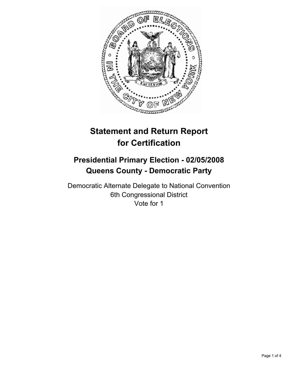

# **Statement and Return Report for Certification**

# **Presidential Primary Election - 02/05/2008 Queens County - Democratic Party**

Democratic Alternate Delegate to National Convention 6th Congressional District Vote for 1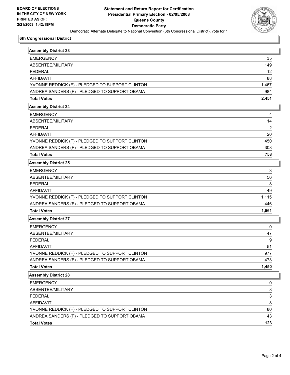

## **6th Congressional District**

| <b>Assembly District 23</b>                     |                |
|-------------------------------------------------|----------------|
| <b>EMERGENCY</b>                                | 35             |
| ABSENTEE/MILITARY                               | 149            |
| <b>FEDERAL</b>                                  | 12             |
| <b>AFFIDAVIT</b>                                | 88             |
| YVONNE REDDICK (F) - PLEDGED TO SUPPORT CLINTON | 1,467          |
| ANDREA SANDERS (F) - PLEDGED TO SUPPORT OBAMA   | 984            |
| <b>Total Votes</b>                              | 2,451          |
| <b>Assembly District 24</b>                     |                |
| <b>EMERGENCY</b>                                | 4              |
| ABSENTEE/MILITARY                               | 14             |
| <b>FEDERAL</b>                                  | 2              |
| <b>AFFIDAVIT</b>                                | 20             |
| YVONNE REDDICK (F) - PLEDGED TO SUPPORT CLINTON | 450            |
| ANDREA SANDERS (F) - PLEDGED TO SUPPORT OBAMA   | 308            |
| <b>Total Votes</b>                              | 758            |
| <b>Assembly District 25</b>                     |                |
| <b>EMERGENCY</b>                                | 3              |
| ABSENTEE/MILITARY                               | 56             |
| <b>FEDERAL</b>                                  | 8              |
| <b>AFFIDAVIT</b>                                | 49             |
| YVONNE REDDICK (F) - PLEDGED TO SUPPORT CLINTON | 1,115          |
| ANDREA SANDERS (F) - PLEDGED TO SUPPORT OBAMA   | 446            |
| <b>Total Votes</b>                              | 1,561          |
| <b>Assembly District 27</b>                     |                |
| <b>EMERGENCY</b>                                | 0              |
| ABSENTEE/MILITARY                               | 47             |
| <b>FEDERAL</b>                                  | 9              |
| <b>AFFIDAVIT</b>                                | 51             |
| YVONNE REDDICK (F) - PLEDGED TO SUPPORT CLINTON | 977            |
| ANDREA SANDERS (F) - PLEDGED TO SUPPORT OBAMA   | 473            |
| <b>Total Votes</b>                              | 1,450          |
| <b>Assembly District 28</b>                     |                |
| <b>EMERGENCY</b>                                | 0              |
| ABSENTEE/MILITARY                               | 8              |
| <b>FEDERAL</b>                                  | $\overline{3}$ |
| <b>AFFIDAVIT</b>                                | 8              |
| YVONNE REDDICK (F) - PLEDGED TO SUPPORT CLINTON | 80             |
| ANDREA SANDERS (F) - PLEDGED TO SUPPORT OBAMA   | 43             |
| <b>Total Votes</b>                              | 123            |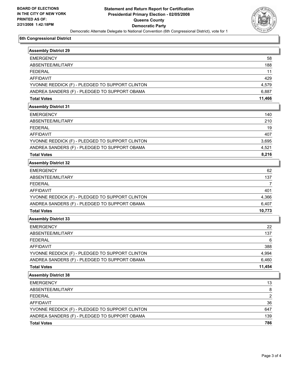

## **6th Congressional District**

| <b>Assembly District 29</b>                     |                         |
|-------------------------------------------------|-------------------------|
| <b>EMERGENCY</b>                                | 58                      |
| ABSENTEE/MILITARY                               | 188                     |
| <b>FEDERAL</b>                                  | 11                      |
| <b>AFFIDAVIT</b>                                | 429                     |
| YVONNE REDDICK (F) - PLEDGED TO SUPPORT CLINTON | 4,579                   |
| ANDREA SANDERS (F) - PLEDGED TO SUPPORT OBAMA   | 6,887                   |
| <b>Total Votes</b>                              | 11,466                  |
| <b>Assembly District 31</b>                     |                         |
| <b>EMERGENCY</b>                                | 140                     |
| ABSENTEE/MILITARY                               | 210                     |
| <b>FEDERAL</b>                                  | 19                      |
| <b>AFFIDAVIT</b>                                | 407                     |
| YVONNE REDDICK (F) - PLEDGED TO SUPPORT CLINTON | 3,695                   |
| ANDREA SANDERS (F) - PLEDGED TO SUPPORT OBAMA   | 4,521                   |
| <b>Total Votes</b>                              | 8,216                   |
| <b>Assembly District 32</b>                     |                         |
| <b>EMERGENCY</b>                                | 62                      |
| ABSENTEE/MILITARY                               | 137                     |
| <b>FEDERAL</b>                                  | 7                       |
| <b>AFFIDAVIT</b>                                | 401                     |
| YVONNE REDDICK (F) - PLEDGED TO SUPPORT CLINTON | 4,366                   |
| ANDREA SANDERS (F) - PLEDGED TO SUPPORT OBAMA   | 6,407                   |
| <b>Total Votes</b>                              | 10,773                  |
| <b>Assembly District 33</b>                     |                         |
| <b>EMERGENCY</b>                                | 22                      |
| ABSENTEE/MILITARY                               | 137                     |
| <b>FEDERAL</b>                                  | 6                       |
| <b>AFFIDAVIT</b>                                | 388                     |
| YVONNE REDDICK (F) - PLEDGED TO SUPPORT CLINTON | 4,994                   |
| ANDREA SANDERS (F) - PLEDGED TO SUPPORT OBAMA   | 6,460                   |
| <b>Total Votes</b>                              | 11,454                  |
| <b>Assembly District 38</b>                     |                         |
| <b>EMERGENCY</b>                                | 13                      |
| ABSENTEE/MILITARY                               | 8                       |
| <b>FEDERAL</b>                                  | $\overline{\mathbf{c}}$ |
| AFFIDAVIT                                       | 36                      |
| YVONNE REDDICK (F) - PLEDGED TO SUPPORT CLINTON | 647                     |
| ANDREA SANDERS (F) - PLEDGED TO SUPPORT OBAMA   | 139                     |
| <b>Total Votes</b>                              | 786                     |